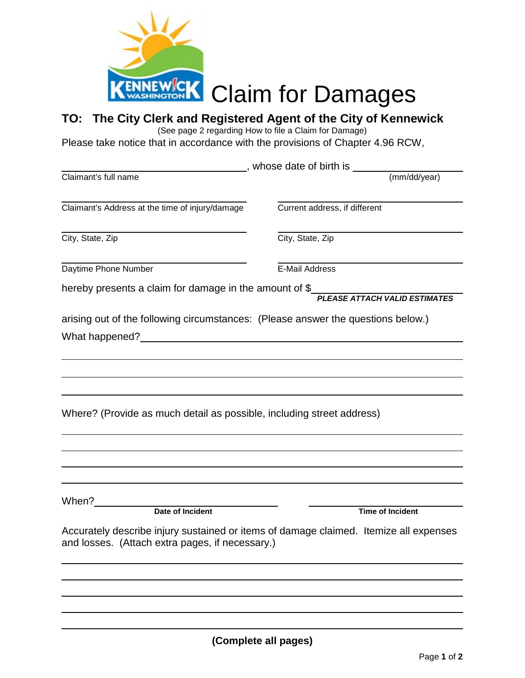

## **TO: The City Clerk and Registered Agent of the City of Kennewick**

(See page 2 regarding How to file a Claim for Damage)

Please take notice that in accordance with the provisions of Chapter 4.96 RCW,

|                                                                                  | whose date of birth is <b>whose</b>                                                   |
|----------------------------------------------------------------------------------|---------------------------------------------------------------------------------------|
| Claimant's full name                                                             | (mm/dd/year)                                                                          |
| Claimant's Address at the time of injury/damage                                  | Current address, if different                                                         |
| City, State, Zip                                                                 | City, State, Zip                                                                      |
| Daytime Phone Number                                                             | E-Mail Address                                                                        |
| hereby presents a claim for damage in the amount of \$                           | <b>PLEASE ATTACH VALID ESTIMATES</b>                                                  |
| arising out of the following circumstances: (Please answer the questions below.) |                                                                                       |
|                                                                                  |                                                                                       |
|                                                                                  |                                                                                       |
|                                                                                  |                                                                                       |
| Where? (Provide as much detail as possible, including street address)            |                                                                                       |
|                                                                                  |                                                                                       |
|                                                                                  |                                                                                       |
| When?                                                                            |                                                                                       |
| Date of Incident                                                                 | <b>Time of Incident</b>                                                               |
| and losses. (Attach extra pages, if necessary.)                                  | Accurately describe injury sustained or items of damage claimed. Itemize all expenses |
|                                                                                  |                                                                                       |
|                                                                                  |                                                                                       |
|                                                                                  |                                                                                       |
|                                                                                  |                                                                                       |
| (Complete all pages)                                                             |                                                                                       |